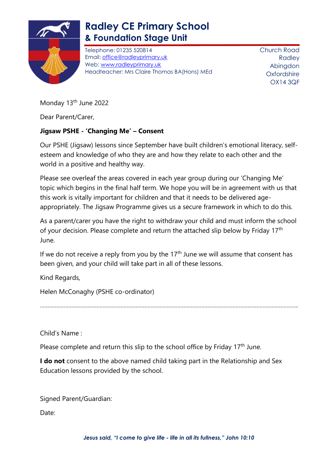

## **Radley CE Primary School & Foundation Stage Unit**

Telephone: 01235 520814 Email: [office@radleyprimary.uk](mailto:office@radleyprimary.uk) Web: [www.radleyprimary.uk](http://www.radleyprimary.uk/) Headteacher: Mrs Claire Thomas BA(Hons) MEd Church Road Radley Abingdon **Oxfordshire** OX14 3QF

Monday 13<sup>th</sup> June 2022

Dear Parent/Carer,

## **Jigsaw PSHE - 'Changing Me' – Consent**

Our PSHE (Jigsaw) lessons since September have built children's emotional literacy, selfesteem and knowledge of who they are and how they relate to each other and the world in a positive and healthy way.

Please see overleaf the areas covered in each year group during our 'Changing Me' topic which begins in the final half term. We hope you will be in agreement with us that this work is vitally important for children and that it needs to be delivered ageappropriately. The Jigsaw Programme gives us a secure framework in which to do this.

As a parent/carer you have the right to withdraw your child and must inform the school of your decision. Please complete and return the attached slip below by Friday 17<sup>th</sup> June.

If we do not receive a reply from you by the  $17<sup>th</sup>$  June we will assume that consent has been given, and your child will take part in all of these lessons.

Kind Regards,

Helen McConaghy (PSHE co-ordinator)

………………………………………………………………………………………………………………………………………………………..

Child's Name :

Please complete and return this slip to the school office by Friday 17<sup>th</sup> June.

**I do not** consent to the above named child taking part in the Relationship and Sex Education lessons provided by the school.

Signed Parent/Guardian:

Date: